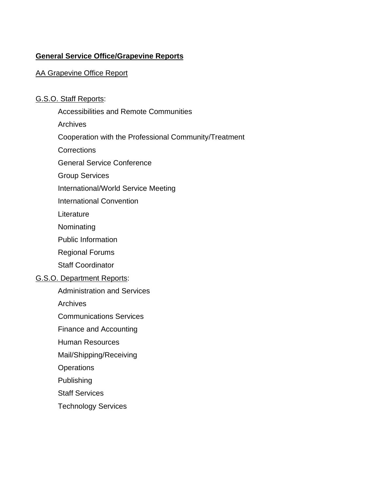# **General Service Office/Grapevine Reports**

# AA Grapevine Office Report

## G.S.O. Staff Reports:

Accessibilities and Remote Communities Archives Cooperation with the Professional Community/Treatment **Corrections** General Service Conference Group Services International/World Service Meeting International Convention **Literature** Nominating Public Information Regional Forums Staff Coordinator G.S.O. Department Reports: Administration and Services **Archives** Communications Services Finance and Accounting Human Resources Mail/Shipping/Receiving **Operations** Publishing Staff Services Technology Services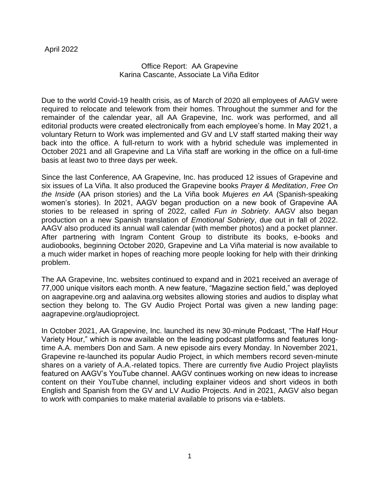## Office Report: AA Grapevine Karina Cascante, Associate La Viña Editor

Due to the world Covid-19 health crisis, as of March of 2020 all employees of AAGV were required to relocate and telework from their homes. Throughout the summer and for the remainder of the calendar year, all AA Grapevine, Inc. work was performed, and all editorial products were created electronically from each employee's home. In May 2021, a voluntary Return to Work was implemented and GV and LV staff started making their way back into the office. A full-return to work with a hybrid schedule was implemented in October 2021 and all Grapevine and La Viña staff are working in the office on a full-time basis at least two to three days per week.

Since the last Conference, AA Grapevine, Inc. has produced 12 issues of Grapevine and six issues of La Viña. It also produced the Grapevine books *Prayer & Meditation*, *Free On the Inside* (AA prison stories) and the La Viña book *Mujeres en AA* (Spanish-speaking women's stories). In 2021, AAGV began production on a new book of Grapevine AA stories to be released in spring of 2022, called *Fun in Sobriety*. AAGV also began production on a new Spanish translation of *Emotional Sobriety*, due out in fall of 2022. AAGV also produced its annual wall calendar (with member photos) and a pocket planner. After partnering with Ingram Content Group to distribute its books, e-books and audiobooks, beginning October 2020, Grapevine and La Viña material is now available to a much wider market in hopes of reaching more people looking for help with their drinking problem.

The AA Grapevine, Inc. websites continued to expand and in 2021 received an average of 77,000 unique visitors each month. A new feature, "Magazine section field," was deployed on aagrapevine.org and aalavina.org websites allowing stories and audios to display what section they belong to. The GV Audio Project Portal was given a new landing page: aagrapevine.org/audioproject.

In October 2021, AA Grapevine, Inc. launched its new 30-minute Podcast, "The Half Hour Variety Hour," which is now available on the leading podcast platforms and features longtime A.A. members Don and Sam. A new episode airs every Monday. In November 2021, Grapevine re-launched its popular Audio Project, in which members record seven-minute shares on a variety of A.A.-related topics. There are currently five Audio Project playlists featured on AAGV's YouTube channel. AAGV continues working on new ideas to increase content on their YouTube channel, including explainer videos and short videos in both English and Spanish from the GV and LV Audio Projects. And in 2021, AAGV also began to work with companies to make material available to prisons via e-tablets.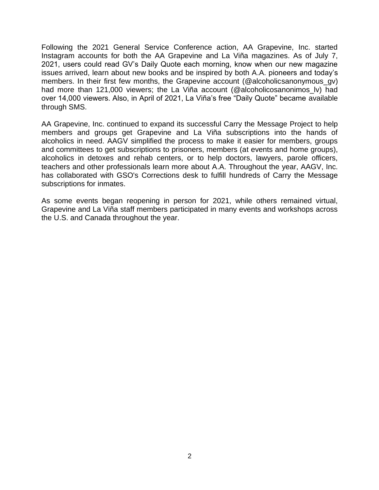through SMS. Following the 2021 General Service Conference action, AA Grapevine, Inc. started Instagram accounts for both the AA Grapevine and La Viña magazines. As of July 7, 2021, users could read GV's Daily Quote each morning, know when our new magazine issues arrived, learn about new books and be inspired by both A.A. pioneers and today's members. In their first few months, the Grapevine account (@alcoholicsanonymous\_gv) had more than 121,000 viewers; the La Viña account (@alcoholicosanonimos lv) had over 14,000 viewers. Also, in April of 2021, La Viña's free "Daily Quote" became available

AA Grapevine, Inc. continued to expand its successful Carry the Message Project to help members and groups get Grapevine and La Viña subscriptions into the hands of alcoholics in need. AAGV simplified the process to make it easier for members, groups and committees to get subscriptions to prisoners, members (at events and home groups), alcoholics in detoxes and rehab centers, or to help doctors, lawyers, parole officers, teachers and other professionals learn more about A.A. Throughout the year, AAGV, Inc. has collaborated with GSO's Corrections desk to fulfill hundreds of Carry the Message subscriptions for inmates.

As some events began reopening in person for 2021, while others remained virtual, Grapevine and La Viña staff members participated in many events and workshops across the U.S. and Canada throughout the year.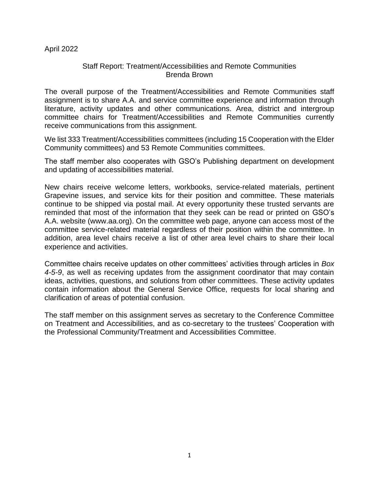### Staff Report: Treatment/Accessibilities and Remote Communities Brenda Brown

The overall purpose of the Treatment/Accessibilities and Remote Communities staff assignment is to share A.A. and service committee experience and information through literature, activity updates and other communications. Area, district and intergroup committee chairs for Treatment/Accessibilities and Remote Communities currently receive communications from this assignment.

We list 333 Treatment/Accessibilities committees (including 15 Cooperation with the Elder Community committees) and 53 Remote Communities committees.

The staff member also cooperates with GSO's Publishing department on development and updating of accessibilities material.

New chairs receive welcome letters, workbooks, service-related materials, pertinent Grapevine issues, and service kits for their position and committee. These materials continue to be shipped via postal mail. At every opportunity these trusted servants are reminded that most of the information that they seek can be read or printed on GSO's A.A. website (www.aa.org). On the committee web page, anyone can access most of the committee service-related material regardless of their position within the committee. In addition, area level chairs receive a list of other area level chairs to share their local experience and activities.

Committee chairs receive updates on other committees' activities through articles in *Box 4-5-9*, as well as receiving updates from the assignment coordinator that may contain ideas, activities, questions, and solutions from other committees. These activity updates contain information about the General Service Office, requests for local sharing and clarification of areas of potential confusion.

The staff member on this assignment serves as secretary to the Conference Committee on Treatment and Accessibilities, and as co-secretary to the trustees' Cooperation with the Professional Community/Treatment and Accessibilities Committee.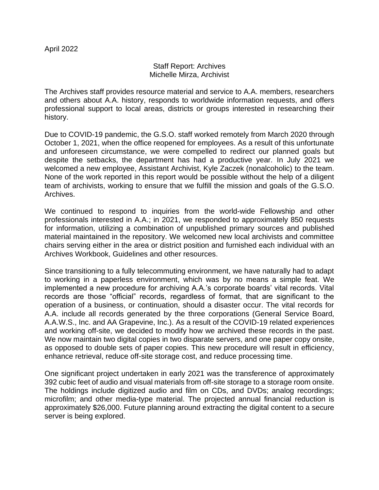### Staff Report: Archives Michelle Mirza, Archivist

The Archives staff provides resource material and service to A.A. members, researchers and others about A.A. history, responds to worldwide information requests, and offers professional support to local areas, districts or groups interested in researching their history.

Due to COVID-19 pandemic, the G.S.O. staff worked remotely from March 2020 through October 1, 2021, when the office reopened for employees. As a result of this unfortunate and unforeseen circumstance, we were compelled to redirect our planned goals but despite the setbacks, the department has had a productive year. In July 2021 we welcomed a new employee, Assistant Archivist, Kyle Zaczek (nonalcoholic) to the team. None of the work reported in this report would be possible without the help of a diligent team of archivists, working to ensure that we fulfill the mission and goals of the G.S.O. Archives.

We continued to respond to inquiries from the world-wide Fellowship and other professionals interested in A.A.; in 2021, we responded to approximately 850 requests for information, utilizing a combination of unpublished primary sources and published material maintained in the repository. We welcomed new local archivists and committee chairs serving either in the area or district position and furnished each individual with an Archives Workbook, Guidelines and other resources.

Since transitioning to a fully telecommuting environment, we have naturally had to adapt to working in a paperless environment, which was by no means a simple feat. We implemented a new procedure for archiving A.A.'s corporate boards' vital records. Vital records are those "official" records, regardless of format, that are significant to the operation of a business, or continuation, should a disaster occur. The vital records for A.A. include all records generated by the three corporations (General Service Board, A.A.W.S., Inc. and AA Grapevine, Inc.). As a result of the COVID-19 related experiences and working off-site, we decided to modify how we archived these records in the past. We now maintain two digital copies in two disparate servers, and one paper copy onsite, as opposed to double sets of paper copies. This new procedure will result in efficiency, enhance retrieval, reduce off-site storage cost, and reduce processing time.

One significant project undertaken in early 2021 was the transference of approximately 392 cubic feet of audio and visual materials from off-site storage to a storage room onsite. The holdings include digitized audio and film on CDs, and DVDs; analog recordings; microfilm; and other media-type material. The projected annual financial reduction is approximately \$26,000. Future planning around extracting the digital content to a secure server is being explored.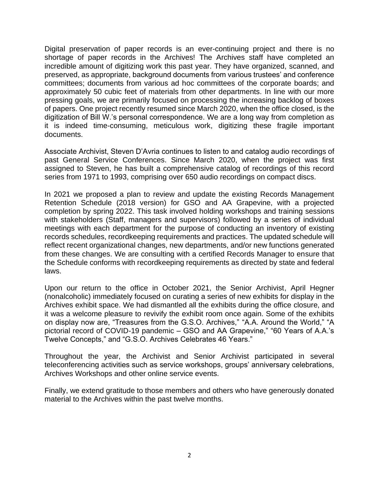Digital preservation of paper records is an ever-continuing project and there is no shortage of paper records in the Archives! The Archives staff have completed an incredible amount of digitizing work this past year. They have organized, scanned, and preserved, as appropriate, background documents from various trustees' and conference committees; documents from various ad hoc committees of the corporate boards; and approximately 50 cubic feet of materials from other departments. In line with our more pressing goals, we are primarily focused on processing the increasing backlog of boxes of papers. One project recently resumed since March 2020, when the office closed, is the digitization of Bill W.'s personal correspondence. We are a long way from completion as it is indeed time-consuming, meticulous work, digitizing these fragile important documents.

Associate Archivist, Steven D'Avria continues to listen to and catalog audio recordings of past General Service Conferences. Since March 2020, when the project was first assigned to Steven, he has built a comprehensive catalog of recordings of this record series from 1971 to 1993, comprising over 650 audio recordings on compact discs.

In 2021 we proposed a plan to review and update the existing Records Management Retention Schedule (2018 version) for GSO and AA Grapevine, with a projected completion by spring 2022. This task involved holding workshops and training sessions with stakeholders (Staff, managers and supervisors) followed by a series of individual meetings with each department for the purpose of conducting an inventory of existing records schedules, recordkeeping requirements and practices. The updated schedule will reflect recent organizational changes, new departments, and/or new functions generated from these changes. We are consulting with a certified Records Manager to ensure that the Schedule conforms with recordkeeping requirements as directed by state and federal laws.

Upon our return to the office in October 2021, the Senior Archivist, April Hegner (nonalcoholic) immediately focused on curating a series of new exhibits for display in the Archives exhibit space. We had dismantled all the exhibits during the office closure, and it was a welcome pleasure to revivify the exhibit room once again. Some of the exhibits on display now are, "Treasures from the G.S.O. Archives," "A.A. Around the World," "A pictorial record of COVID-19 pandemic – GSO and AA Grapevine," "60 Years of A.A.'s Twelve Concepts," and "G.S.O. Archives Celebrates 46 Years."

Throughout the year, the Archivist and Senior Archivist participated in several teleconferencing activities such as service workshops, groups' anniversary celebrations, Archives Workshops and other online service events.

Finally, we extend gratitude to those members and others who have generously donated material to the Archives within the past twelve months.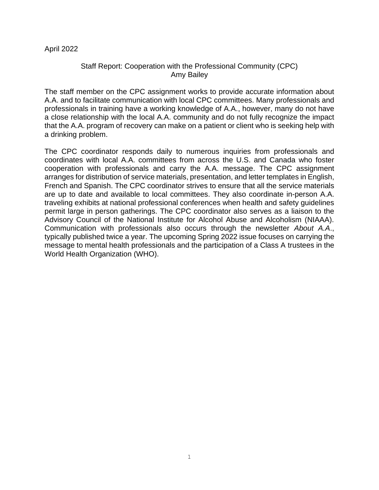### Staff Report: Cooperation with the Professional Community (CPC) Amy Bailey

The staff member on the CPC assignment works to provide accurate information about A.A. and to facilitate communication with local CPC committees. Many professionals and professionals in training have a working knowledge of A.A., however, many do not have a close relationship with the local A.A. community and do not fully recognize the impact that the A.A. program of recovery can make on a patient or client who is seeking help with a drinking problem.

The CPC coordinator responds daily to numerous inquiries from professionals and coordinates with local A.A. committees from across the U.S. and Canada who foster cooperation with professionals and carry the A.A. message. The CPC assignment arranges for distribution of service materials, presentation, and letter templates in English, French and Spanish. The CPC coordinator strives to ensure that all the service materials are up to date and available to local committees. They also coordinate in-person A.A. traveling exhibits at national professional conferences when health and safety guidelines permit large in person gatherings. The CPC coordinator also serves as a liaison to the Advisory Council of the National Institute for Alcohol Abuse and Alcoholism (NIAAA). Communication with professionals also occurs through the newsletter *About A.A*., typically published twice a year. The upcoming Spring 2022 issue focuses on carrying the message to mental health professionals and the participation of a Class A trustees in the World Health Organization (WHO).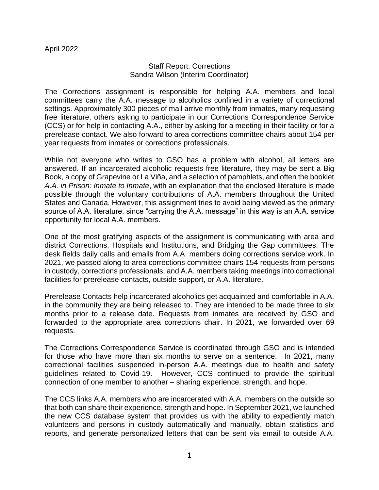### Staff Report: Corrections Sandra Wilson (Interim Coordinator)

The Corrections assignment is responsible for helping A.A. members and local committees carry the A.A. message to alcoholics confined in a variety of correctional settings. Approximately 300 pieces of mail arrive monthly from inmates, many requesting free literature, others asking to participate in our Corrections Correspondence Service (CCS) or for help in contacting A.A., either by asking for a meeting in their facility or for a prerelease contact. We also forward to area corrections committee chairs about 154 per year requests from inmates or corrections professionals.

While not everyone who writes to GSO has a problem with alcohol, all letters are answered. If an incarcerated alcoholic requests free literature, they may be sent a Big Book, a copy of Grapevine or La Viña, and a selection of pamphlets, and often the booklet *A.A. in Prison: Inmate to Inmate*, with an explanation that the enclosed literature is made possible through the voluntary contributions of A.A. members throughout the United States and Canada. However, this assignment tries to avoid being viewed as the primary source of A.A. literature, since "carrying the A.A. message" in this way is an A.A. service opportunity for local A.A. members.

One of the most gratifying aspects of the assignment is communicating with area and district Corrections, Hospitals and Institutions, and Bridging the Gap committees. The desk fields daily calls and emails from A.A. members doing corrections service work. In 2021, we passed along to area corrections committee chairs 154 requests from persons in custody, corrections professionals, and A.A. members taking meetings into correctional facilities for prerelease contacts, outside support, or A.A. literature.

Prerelease Contacts help incarcerated alcoholics get acquainted and comfortable in A.A. in the community they are being released to. They are intended to be made three to six months prior to a release date. Requests from inmates are received by GSO and forwarded to the appropriate area corrections chair. In 2021, we forwarded over 69 requests.

The Corrections Correspondence Service is coordinated through GSO and is intended for those who have more than six months to serve on a sentence. In 2021, many correctional facilities suspended in-person A.A. meetings due to health and safety guidelines related to Covid-19. However, CCS continued to provide the spiritual connection of one member to another – sharing experience, strength, and hope.

The CCS links A.A. members who are incarcerated with A.A. members on the outside so that both can share their experience, strength and hope. In September 2021, we launched the new CCS database system that provides us with the ability to expediently match volunteers and persons in custody automatically and manually, obtain statistics and reports, and generate personalized letters that can be sent via email to outside A.A.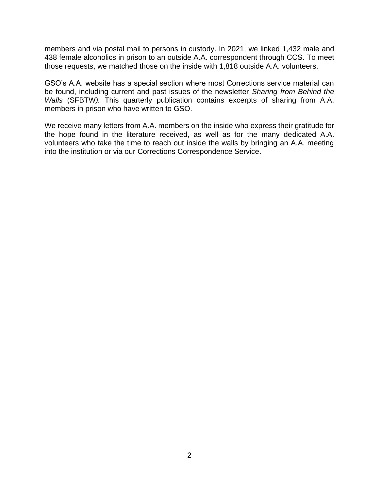members and via postal mail to persons in custody. In 2021, we linked 1,432 male and 438 female alcoholics in prison to an outside A.A. correspondent through CCS. To meet those requests, we matched those on the inside with 1,818 outside A.A. volunteers.

GSO's A.A. website has a special section where most Corrections service material can be found, including current and past issues of the newsletter *Sharing from Behind the Walls* (SFBTW*).* This quarterly publication contains excerpts of sharing from A.A. members in prison who have written to GSO.

We receive many letters from A.A. members on the inside who express their gratitude for the hope found in the literature received, as well as for the many dedicated A.A. volunteers who take the time to reach out inside the walls by bringing an A.A. meeting into the institution or via our Corrections Correspondence Service.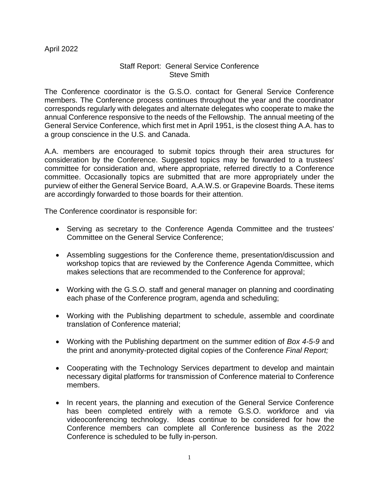# Staff Report: General Service Conference Steve Smith

The Conference coordinator is the G.S.O. contact for General Service Conference members. The Conference process continues throughout the year and the coordinator corresponds regularly with delegates and alternate delegates who cooperate to make the annual Conference responsive to the needs of the Fellowship. The annual meeting of the General Service Conference, which first met in April 1951, is the closest thing A.A. has to a group conscience in the U.S. and Canada.

A.A. members are encouraged to submit topics through their area structures for consideration by the Conference. Suggested topics may be forwarded to a trustees' committee for consideration and, where appropriate, referred directly to a Conference committee. Occasionally topics are submitted that are more appropriately under the purview of either the General Service Board, A.A.W.S. or Grapevine Boards. These items are accordingly forwarded to those boards for their attention.

The Conference coordinator is responsible for:

- Serving as secretary to the Conference Agenda Committee and the trustees' Committee on the General Service Conference;
- Assembling suggestions for the Conference theme, presentation/discussion and workshop topics that are reviewed by the Conference Agenda Committee, which makes selections that are recommended to the Conference for approval;
- Working with the G.S.O. staff and general manager on planning and coordinating each phase of the Conference program, agenda and scheduling;
- Working with the Publishing department to schedule, assemble and coordinate translation of Conference material;
- Working with the Publishing department on the summer edition of *Box 4-5-9* and the print and anonymity-protected digital copies of the Conference *Final Report;*
- Cooperating with the Technology Services department to develop and maintain necessary digital platforms for transmission of Conference material to Conference members.
- In recent years, the planning and execution of the General Service Conference has been completed entirely with a remote G.S.O. workforce and via videoconferencing technology. Ideas continue to be considered for how the Conference members can complete all Conference business as the 2022 Conference is scheduled to be fully in-person.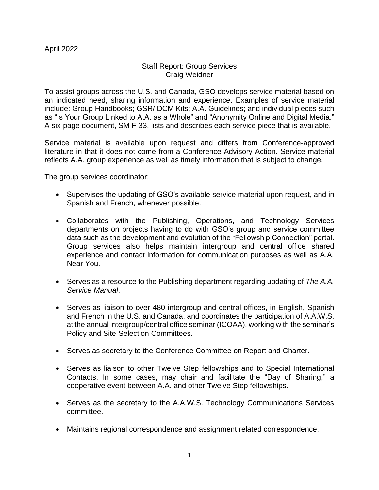# Staff Report: Group Services Craig Weidner

To assist groups across the U.S. and Canada, GSO develops service material based on an indicated need, sharing information and experience. Examples of service material include: Group Handbooks; GSR/ DCM Kits; A.A. Guidelines; and individual pieces such as "Is Your Group Linked to A.A. as a Whole" and "Anonymity Online and Digital Media." A six-page document, SM F-33, lists and describes each service piece that is available.

Service material is available upon request and differs from Conference-approved literature in that it does not come from a Conference Advisory Action. Service material reflects A.A. group experience as well as timely information that is subject to change.

The group services coordinator:

- Supervises the updating of GSO's available service material upon request, and in Spanish and French, whenever possible.
- Collaborates with the Publishing, Operations, and Technology Services departments on projects having to do with GSO's group and service committee data such as the development and evolution of the "Fellowship Connection" portal. Group services also helps maintain intergroup and central office shared experience and contact information for communication purposes as well as A.A. Near You.
- Serves as a resource to the Publishing department regarding updating of *The A.A. Service Manual*.
- Serves as liaison to over 480 intergroup and central offices, in English, Spanish and French in the U.S. and Canada, and coordinates the participation of A.A.W.S. at the annual intergroup/central office seminar (ICOAA), working with the seminar's Policy and Site-Selection Committees.
- Serves as secretary to the Conference Committee on Report and Charter.
- Serves as liaison to other Twelve Step fellowships and to Special International Contacts. In some cases, may chair and facilitate the "Day of Sharing," a cooperative event between A.A. and other Twelve Step fellowships.
- Serves as the secretary to the A.A.W.S. Technology Communications Services committee.
- Maintains regional correspondence and assignment related correspondence.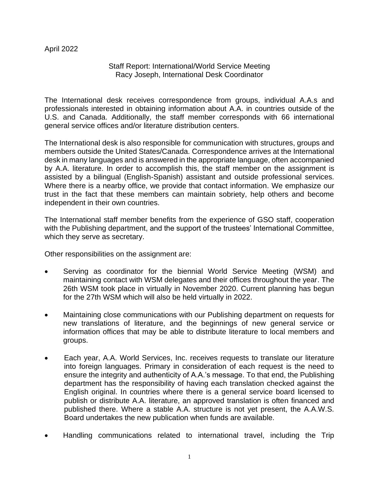# Staff Report: International/World Service Meeting Racy Joseph, International Desk Coordinator

The International desk receives correspondence from groups, individual A.A.s and professionals interested in obtaining information about A.A. in countries outside of the U.S. and Canada. Additionally, the staff member corresponds with 66 international general service offices and/or literature distribution centers.

The International desk is also responsible for communication with structures, groups and members outside the United States/Canada. Correspondence arrives at the International desk in many languages and is answered in the appropriate language, often accompanied by A.A. literature. In order to accomplish this, the staff member on the assignment is assisted by a bilingual (English-Spanish) assistant and outside professional services. Where there is a nearby office, we provide that contact information. We emphasize our trust in the fact that these members can maintain sobriety, help others and become independent in their own countries.

The International staff member benefits from the experience of GSO staff, cooperation with the Publishing department, and the support of the trustees' International Committee, which they serve as secretary.

Other responsibilities on the assignment are:

- Serving as coordinator for the biennial World Service Meeting (WSM) and maintaining contact with WSM delegates and their offices throughout the year. The 26th WSM took place in virtually in November 2020. Current planning has begun for the 27th WSM which will also be held virtually in 2022.
- Maintaining close communications with our Publishing department on requests for new translations of literature, and the beginnings of new general service or information offices that may be able to distribute literature to local members and groups.
- Each year, A.A. World Services, Inc. receives requests to translate our literature into foreign languages. Primary in consideration of each request is the need to ensure the integrity and authenticity of A.A.'s message. To that end, the Publishing department has the responsibility of having each translation checked against the English original. In countries where there is a general service board licensed to publish or distribute A.A. literature, an approved translation is often financed and published there. Where a stable A.A. structure is not yet present, the A.A.W.S. Board undertakes the new publication when funds are available.
- Handling communications related to international travel, including the Trip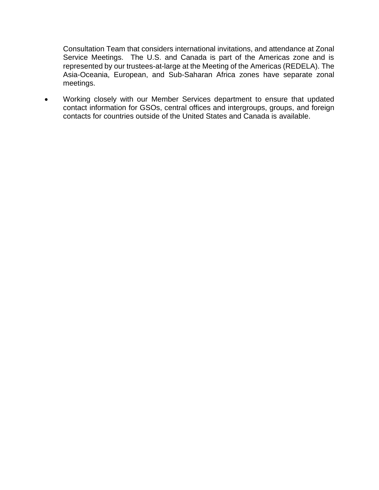Consultation Team that considers international invitations, and attendance at Zonal Service Meetings. The U.S. and Canada is part of the Americas zone and is represented by our trustees-at-large at the Meeting of the Americas (REDELA). The Asia-Oceania, European, and Sub-Saharan Africa zones have separate zonal meetings.

• Working closely with our Member Services department to ensure that updated contact information for GSOs, central offices and intergroups, groups, and foreign contacts for countries outside of the United States and Canada is available.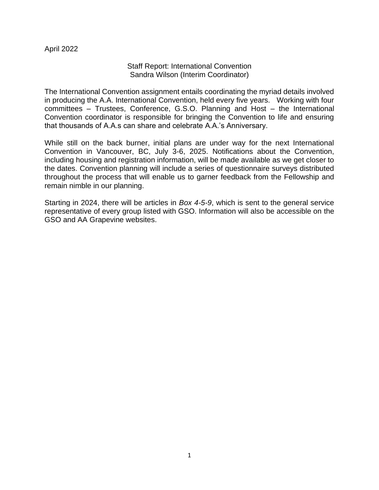### Staff Report: International Convention Sandra Wilson (Interim Coordinator)

The International Convention assignment entails coordinating the myriad details involved in producing the A.A. International Convention, held every five years. Working with four committees – Trustees, Conference, G.S.O. Planning and Host – the International Convention coordinator is responsible for bringing the Convention to life and ensuring that thousands of A.A.s can share and celebrate A.A.'s Anniversary.

While still on the back burner, initial plans are under way for the next International Convention in Vancouver, BC, July 3-6, 2025. Notifications about the Convention, including housing and registration information, will be made available as we get closer to the dates. Convention planning will include a series of questionnaire surveys distributed throughout the process that will enable us to garner feedback from the Fellowship and remain nimble in our planning.

Starting in 2024, there will be articles in *Box 4-5-9*, which is sent to the general service representative of every group listed with GSO. Information will also be accessible on the GSO and AA Grapevine websites.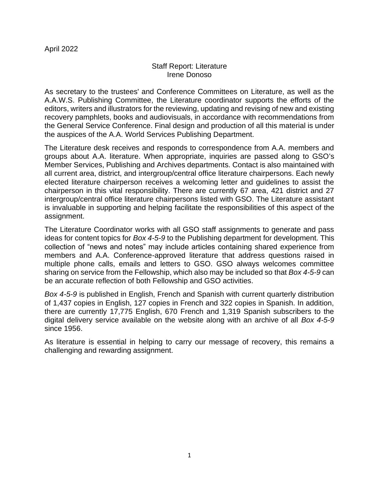### Staff Report: Literature Irene Donoso

As secretary to the trustees' and Conference Committees on Literature, as well as the A.A.W.S. Publishing Committee, the Literature coordinator supports the efforts of the editors, writers and illustrators for the reviewing, updating and revising of new and existing recovery pamphlets, books and audiovisuals, in accordance with recommendations from the General Service Conference. Final design and production of all this material is under the auspices of the A.A. World Services Publishing Department.

The Literature desk receives and responds to correspondence from A.A. members and groups about A.A. literature. When appropriate, inquiries are passed along to GSO's Member Services, Publishing and Archives departments. Contact is also maintained with all current area, district, and intergroup/central office literature chairpersons. Each newly elected literature chairperson receives a welcoming letter and guidelines to assist the chairperson in this vital responsibility. There are currently 67 area, 421 district and 27 intergroup/central office literature chairpersons listed with GSO. The Literature assistant is invaluable in supporting and helping facilitate the responsibilities of this aspect of the assignment.

The Literature Coordinator works with all GSO staff assignments to generate and pass ideas for content topics for *Box 4-5-9* to the Publishing department for development. This collection of "news and notes" may include articles containing shared experience from members and A.A. Conference-approved literature that address questions raised in multiple phone calls, emails and letters to GSO. GSO always welcomes committee sharing on service from the Fellowship, which also may be included so that *Box 4-5-9* can be an accurate reflection of both Fellowship and GSO activities.

*Box 4-5-9* is published in English, French and Spanish with current quarterly distribution of 1,437 copies in English, 127 copies in French and 322 copies in Spanish. In addition, there are currently 17,775 English, 670 French and 1,319 Spanish subscribers to the digital delivery service available on the website along with an archive of all *Box 4-5-9*  since 1956.

As literature is essential in helping to carry our message of recovery, this remains a challenging and rewarding assignment.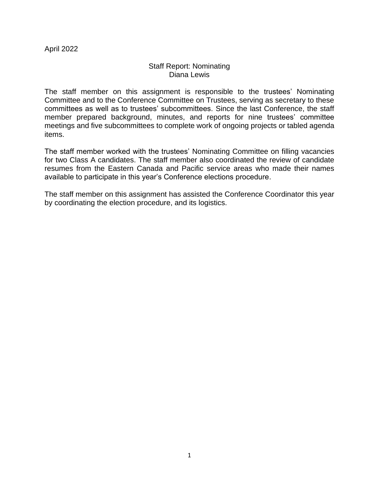### Staff Report: Nominating Diana Lewis

The staff member on this assignment is responsible to the trustees' Nominating Committee and to the Conference Committee on Trustees, serving as secretary to these committees as well as to trustees' subcommittees. Since the last Conference, the staff member prepared background, minutes, and reports for nine trustees' committee meetings and five subcommittees to complete work of ongoing projects or tabled agenda items.

The staff member worked with the trustees' Nominating Committee on filling vacancies for two Class A candidates. The staff member also coordinated the review of candidate resumes from the Eastern Canada and Pacific service areas who made their names available to participate in this year's Conference elections procedure.

The staff member on this assignment has assisted the Conference Coordinator this year by coordinating the election procedure, and its logistics.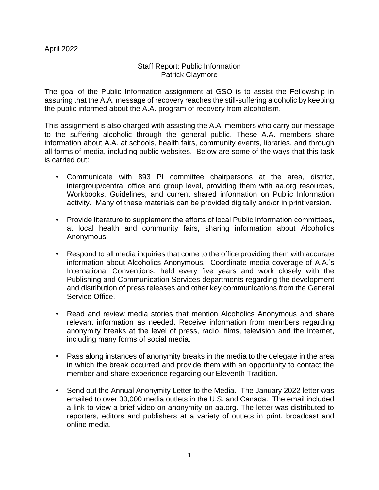# Staff Report: Public Information Patrick Claymore

The goal of the Public Information assignment at GSO is to assist the Fellowship in assuring that the A.A. message of recovery reaches the still-suffering alcoholic by keeping the public informed about the A.A. program of recovery from alcoholism.

This assignment is also charged with assisting the A.A. members who carry our message to the suffering alcoholic through the general public. These A.A. members share information about A.A. at schools, health fairs, community events, libraries, and through all forms of media, including public websites. Below are some of the ways that this task is carried out:

- Communicate with 893 PI committee chairpersons at the area, district, intergroup/central office and group level, providing them with aa.org resources, Workbooks, Guidelines, and current shared information on Public Information activity. Many of these materials can be provided digitally and/or in print version.
- Provide literature to supplement the efforts of local Public Information committees, at local health and community fairs, sharing information about Alcoholics Anonymous.
- Respond to all media inquiries that come to the office providing them with accurate information about Alcoholics Anonymous. Coordinate media coverage of A.A.'s International Conventions, held every five years and work closely with the Publishing and Communication Services departments regarding the development and distribution of press releases and other key communications from the General Service Office.
- Read and review media stories that mention Alcoholics Anonymous and share relevant information as needed. Receive information from members regarding anonymity breaks at the level of press, radio, films, television and the Internet, including many forms of social media.
- Pass along instances of anonymity breaks in the media to the delegate in the area in which the break occurred and provide them with an opportunity to contact the member and share experience regarding our Eleventh Tradition.
- Send out the Annual Anonymity Letter to the Media. The January 2022 letter was emailed to over 30,000 media outlets in the U.S. and Canada. The email included a link to view a brief video on anonymity on aa.org. The letter was distributed to reporters, editors and publishers at a variety of outlets in print, broadcast and online media.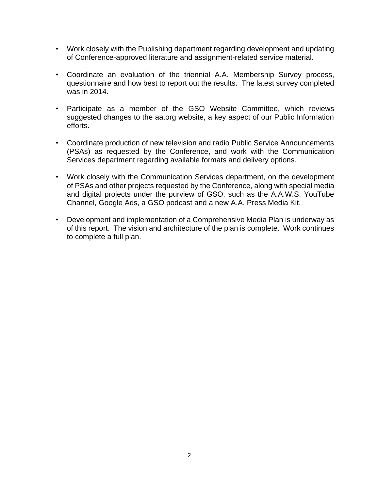- Work closely with the Publishing department regarding development and updating of Conference-approved literature and assignment-related service material.
- Coordinate an evaluation of the triennial A.A. Membership Survey process, questionnaire and how best to report out the results. The latest survey completed was in 2014.
- Participate as a member of the GSO Website Committee, which reviews suggested changes to the aa.org website, a key aspect of our Public Information efforts.
- Coordinate production of new television and radio Public Service Announcements (PSAs) as requested by the Conference, and work with the Communication Services department regarding available formats and delivery options.
- Work closely with the Communication Services department, on the development of PSAs and other projects requested by the Conference, along with special media and digital projects under the purview of GSO, such as the A.A.W.S. YouTube Channel, Google Ads, a GSO podcast and a new A.A. Press Media Kit.
- Development and implementation of a Comprehensive Media Plan is underway as of this report. The vision and architecture of the plan is complete. Work continues to complete a full plan.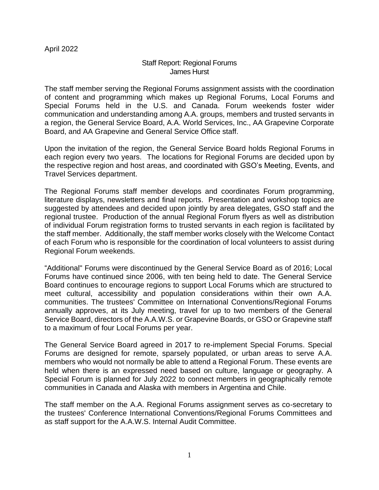# Staff Report: Regional Forums James Hurst

The staff member serving the Regional Forums assignment assists with the coordination of content and programming which makes up Regional Forums, Local Forums and Special Forums held in the U.S. and Canada. Forum weekends foster wider communication and understanding among A.A. groups, members and trusted servants in a region, the General Service Board, A.A. World Services, Inc., AA Grapevine Corporate Board, and AA Grapevine and General Service Office staff.

Upon the invitation of the region, the General Service Board holds Regional Forums in each region every two years. The locations for Regional Forums are decided upon by the respective region and host areas, and coordinated with GSO's Meeting, Events, and Travel Services department.

The Regional Forums staff member develops and coordinates Forum programming, literature displays, newsletters and final reports. Presentation and workshop topics are suggested by attendees and decided upon jointly by area delegates, GSO staff and the regional trustee. Production of the annual Regional Forum flyers as well as distribution of individual Forum registration forms to trusted servants in each region is facilitated by the staff member. Additionally, the staff member works closely with the Welcome Contact of each Forum who is responsible for the coordination of local volunteers to assist during Regional Forum weekends.

"Additional" Forums were discontinued by the General Service Board as of 2016; Local Forums have continued since 2006, with ten being held to date. The General Service Board continues to encourage regions to support Local Forums which are structured to meet cultural, accessibility and population considerations within their own A.A. communities. The trustees' Committee on International Conventions/Regional Forums annually approves, at its July meeting, travel for up to two members of the General Service Board, directors of the A.A.W.S. or Grapevine Boards, or GSO or Grapevine staff to a maximum of four Local Forums per year.

The General Service Board agreed in 2017 to re-implement Special Forums. Special Forums are designed for remote, sparsely populated, or urban areas to serve A.A. members who would not normally be able to attend a Regional Forum. These events are held when there is an expressed need based on culture, language or geography. A Special Forum is planned for July 2022 to connect members in geographically remote communities in Canada and Alaska with members in Argentina and Chile.

The staff member on the A.A. Regional Forums assignment serves as co-secretary to the trustees' Conference International Conventions/Regional Forums Committees and as staff support for the A.A.W.S. Internal Audit Committee.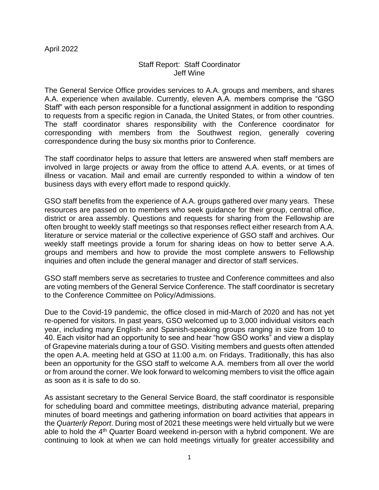### Staff Report: Staff Coordinator Jeff Wine

The General Service Office provides services to A.A. groups and members, and shares A.A. experience when available. Currently, eleven A.A. members comprise the "GSO Staff" with each person responsible for a functional assignment in addition to responding to requests from a specific region in Canada, the United States, or from other countries. The staff coordinator shares responsibility with the Conference coordinator for corresponding with members from the Southwest region, generally covering correspondence during the busy six months prior to Conference.

The staff coordinator helps to assure that letters are answered when staff members are involved in large projects or away from the office to attend A.A. events, or at times of illness or vacation. Mail and email are currently responded to within a window of ten business days with every effort made to respond quickly.

GSO staff benefits from the experience of A.A. groups gathered over many years. These resources are passed on to members who seek guidance for their group, central office, district or area assembly. Questions and requests for sharing from the Fellowship are often brought to weekly staff meetings so that responses reflect either research from A.A. literature or service material or the collective experience of GSO staff and archives. Our weekly staff meetings provide a forum for sharing ideas on how to better serve A.A. groups and members and how to provide the most complete answers to Fellowship inquiries and often include the general manager and director of staff services.

GSO staff members serve as secretaries to trustee and Conference committees and also are voting members of the General Service Conference. The staff coordinator is secretary to the Conference Committee on Policy/Admissions.

Due to the Covid-19 pandemic, the office closed in mid-March of 2020 and has not yet re-opened for visitors. In past years, GSO welcomed up to 3,000 individual visitors each year, including many English- and Spanish-speaking groups ranging in size from 10 to 40. Each visitor had an opportunity to see and hear "how GSO works" and view a display of Grapevine materials during a tour of GSO. Visiting members and guests often attended the open A.A. meeting held at GSO at 11:00 a.m. on Fridays. Traditionally, this has also been an opportunity for the GSO staff to welcome A.A. members from all over the world or from around the corner. We look forward to welcoming members to visit the office again as soon as it is safe to do so.

As assistant secretary to the General Service Board, the staff coordinator is responsible for scheduling board and committee meetings, distributing advance material, preparing minutes of board meetings and gathering information on board activities that appears in the *Quarterly Report*. During most of 2021 these meetings were held virtually but we were able to hold the 4<sup>th</sup> Quarter Board weekend in-person with a hybrid component. We are continuing to look at when we can hold meetings virtually for greater accessibility and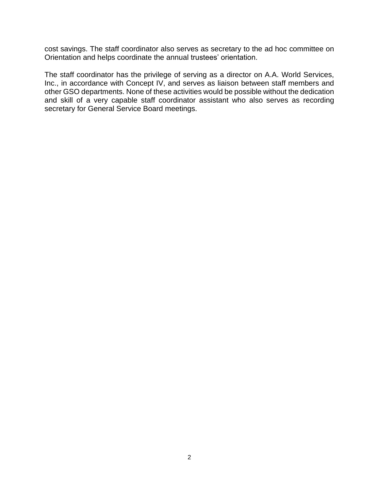cost savings. The staff coordinator also serves as secretary to the ad hoc committee on Orientation and helps coordinate the annual trustees' orientation.

The staff coordinator has the privilege of serving as a director on A.A. World Services, Inc., in accordance with Concept IV, and serves as liaison between staff members and other GSO departments. None of these activities would be possible without the dedication and skill of a very capable staff coordinator assistant who also serves as recording secretary for General Service Board meetings.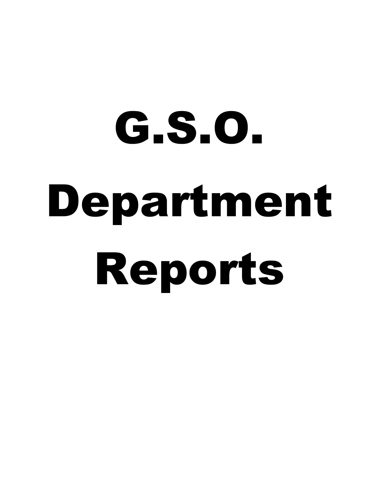# G.S.O. Department Reports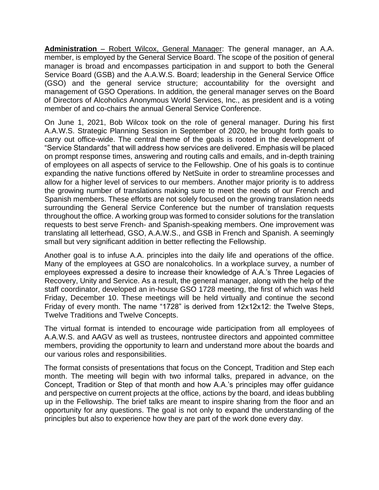**Administration** – Robert Wilcox, General Manager: The general manager, an A.A. member, is employed by the General Service Board. The scope of the position of general manager is broad and encompasses participation in and support to both the General Service Board (GSB) and the A.A.W.S. Board; leadership in the General Service Office (GSO) and the general service structure; accountability for the oversight and management of GSO Operations. In addition, the general manager serves on the Board of Directors of Alcoholics Anonymous World Services, Inc., as president and is a voting member of and co-chairs the annual General Service Conference.

On June 1, 2021, Bob Wilcox took on the role of general manager. During his first A.A.W.S. Strategic Planning Session in September of 2020, he brought forth goals to carry out office-wide. The central theme of the goals is rooted in the development of "Service Standards" that will address how services are delivered. Emphasis will be placed on prompt response times, answering and routing calls and emails, and in-depth training of employees on all aspects of service to the Fellowship. One of his goals is to continue expanding the native functions offered by NetSuite in order to streamline processes and allow for a higher level of services to our members. Another major priority is to address the growing number of translations making sure to meet the needs of our French and Spanish members. These efforts are not solely focused on the growing translation needs surrounding the General Service Conference but the number of translation requests throughout the office. A working group was formed to consider solutions for the translation requests to best serve French- and Spanish-speaking members. One improvement was translating all letterhead, GSO, A.A.W.S., and GSB in French and Spanish. A seemingly small but very significant addition in better reflecting the Fellowship.

Another goal is to infuse A.A. principles into the daily life and operations of the office. Many of the employees at GSO are nonalcoholics. In a workplace survey, a number of employees expressed a desire to increase their knowledge of A.A.'s Three Legacies of Recovery, Unity and Service. As a result, the general manager, along with the help of the staff coordinator, developed an in-house GSO 1728 meeting, the first of which was held Friday, December 10. These meetings will be held virtually and continue the second Friday of every month. The name "1728" is derived from 12x12x12: the Twelve Steps, Twelve Traditions and Twelve Concepts.

The virtual format is intended to encourage wide participation from all employees of A.A.W.S. and AAGV as well as trustees, nontrustee directors and appointed committee members, providing the opportunity to learn and understand more about the boards and our various roles and responsibilities.

The format consists of presentations that focus on the Concept, Tradition and Step each month. The meeting will begin with two informal talks, prepared in advance, on the Concept, Tradition or Step of that month and how A.A.'s principles may offer guidance and perspective on current projects at the office, actions by the board, and ideas bubbling up in the Fellowship. The brief talks are meant to inspire sharing from the floor and an opportunity for any questions. The goal is not only to expand the understanding of the principles but also to experience how they are part of the work done every day.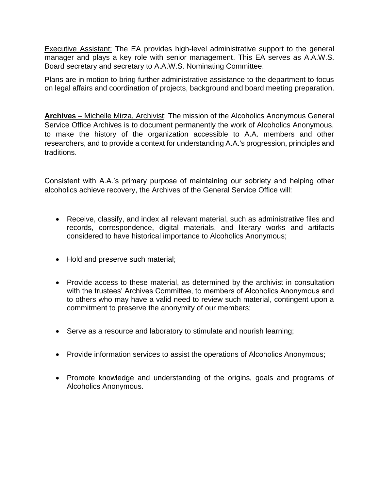Executive Assistant: The EA provides high-level administrative support to the general manager and plays a key role with senior management. This EA serves as A.A.W.S. Board secretary and secretary to A.A.W.S. Nominating Committee.

Plans are in motion to bring further administrative assistance to the department to focus on legal affairs and coordination of projects, background and board meeting preparation.

**Archives** – Michelle Mirza, Archivist: The mission of the Alcoholics Anonymous General Service Office Archives is to document permanently the work of Alcoholics Anonymous, to make the history of the organization accessible to A.A. members and other researchers, and to provide a context for understanding A.A.'s progression, principles and traditions.

Consistent with A.A.'s primary purpose of maintaining our sobriety and helping other alcoholics achieve recovery, the Archives of the General Service Office will:

- Receive, classify, and index all relevant material, such as administrative files and records, correspondence, digital materials, and literary works and artifacts considered to have historical importance to Alcoholics Anonymous;
- Hold and preserve such material;
- Provide access to these material, as determined by the archivist in consultation with the trustees' Archives Committee, to members of Alcoholics Anonymous and to others who may have a valid need to review such material, contingent upon a commitment to preserve the anonymity of our members;
- Serve as a resource and laboratory to stimulate and nourish learning;
- Provide information services to assist the operations of Alcoholics Anonymous;
- Promote knowledge and understanding of the origins, goals and programs of Alcoholics Anonymous.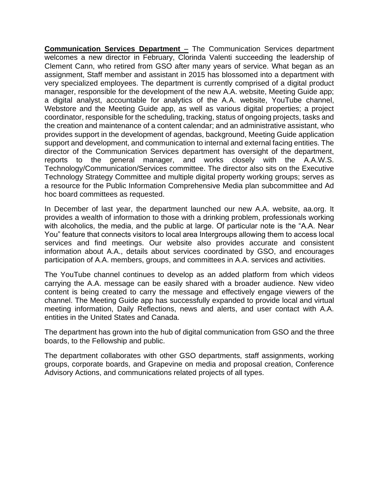**Communication Services Department** – The Communication Services department welcomes a new director in February, Clorinda Valenti succeeding the leadership of Clement Cann, who retired from GSO after many years of service. What began as an assignment, Staff member and assistant in 2015 has blossomed into a department with very specialized employees. The department is currently comprised of a digital product manager, responsible for the development of the new A.A. website, Meeting Guide app; a digital analyst, accountable for analytics of the A.A. website, YouTube channel, Webstore and the Meeting Guide app, as well as various digital properties; a project coordinator, responsible for the scheduling, tracking, status of ongoing projects, tasks and the creation and maintenance of a content calendar; and an administrative assistant, who provides support in the development of agendas, background, Meeting Guide application support and development, and communication to internal and external facing entities. The director of the Communication Services department has oversight of the department, reports to the general manager, and works closely with the A.A.W.S. Technology/Communication/Services committee. The director also sits on the Executive Technology Strategy Committee and multiple digital property working groups; serves as a resource for the Public Information Comprehensive Media plan subcommittee and Ad hoc board committees as requested.

In December of last year, the department launched our new A.A. website, aa.org. It provides a wealth of information to those with a drinking problem, professionals working with alcoholics, the media, and the public at large. Of particular note is the "A.A. Near You" feature that connects visitors to local area Intergroups allowing them to access local services and find meetings. Our website also provides accurate and consistent information about A.A., details about services coordinated by GSO, and encourages participation of A.A. members, groups, and committees in A.A. services and activities.

The YouTube channel continues to develop as an added platform from which videos carrying the A.A. message can be easily shared with a broader audience. New video content is being created to carry the message and effectively engage viewers of the channel. The Meeting Guide app has successfully expanded to provide local and virtual meeting information, Daily Reflections, news and alerts, and user contact with A.A. entities in the United States and Canada.

The department has grown into the hub of digital communication from GSO and the three boards, to the Fellowship and public.

The department collaborates with other GSO departments, staff assignments, working groups, corporate boards, and Grapevine on media and proposal creation, Conference Advisory Actions, and communications related projects of all types.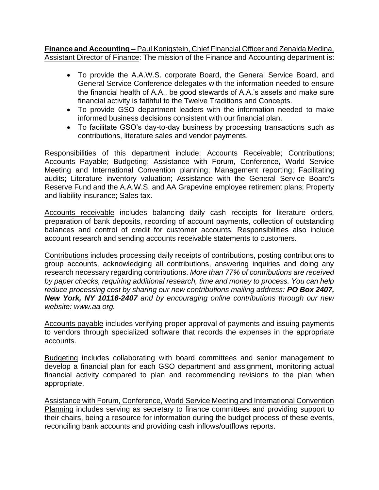**Finance and Accounting** – Paul Konigstein, Chief Financial Officer and Zenaida Medina, Assistant Director of Finance: The mission of the Finance and Accounting department is:

- To provide the A.A.W.S. corporate Board, the General Service Board, and General Service Conference delegates with the information needed to ensure the financial health of A.A., be good stewards of A.A.'s assets and make sure financial activity is faithful to the Twelve Traditions and Concepts.
- To provide GSO department leaders with the information needed to make informed business decisions consistent with our financial plan.
- To facilitate GSO's day-to-day business by processing transactions such as contributions, literature sales and vendor payments.

Responsibilities of this department include: Accounts Receivable; Contributions; Accounts Payable; Budgeting; Assistance with Forum, Conference, World Service Meeting and International Convention planning; Management reporting; Facilitating audits; Literature inventory valuation; Assistance with the General Service Board's Reserve Fund and the A.A.W.S. and AA Grapevine employee retirement plans; Property and liability insurance; Sales tax.

Accounts receivable includes balancing daily cash receipts for literature orders, preparation of bank deposits, recording of account payments, collection of outstanding balances and control of credit for customer accounts. Responsibilities also include account research and sending accounts receivable statements to customers.

Contributions includes processing daily receipts of contributions, posting contributions to group accounts, acknowledging all contributions, answering inquiries and doing any research necessary regarding contributions. *More than 77% of contributions are received by paper checks, requiring additional research, time and money to process. You can help reduce processing cost by sharing our new contributions mailing address: PO Box 2407, New York, NY 10116-2407 and by encouraging online contributions through our new website: www.aa.org.* 

Accounts payable includes verifying proper approval of payments and issuing payments to vendors through specialized software that records the expenses in the appropriate accounts.

Budgeting includes collaborating with board committees and senior management to develop a financial plan for each GSO department and assignment, monitoring actual financial activity compared to plan and recommending revisions to the plan when appropriate.

Assistance with Forum, Conference, World Service Meeting and International Convention Planning includes serving as secretary to finance committees and providing support to their chairs, being a resource for information during the budget process of these events, reconciling bank accounts and providing cash inflows/outflows reports.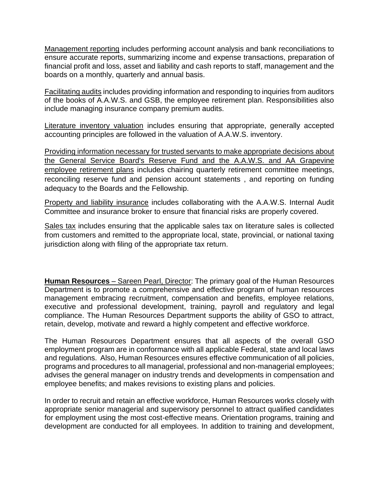Management reporting includes performing account analysis and bank reconciliations to ensure accurate reports, summarizing income and expense transactions, preparation of financial profit and loss, asset and liability and cash reports to staff, management and the boards on a monthly, quarterly and annual basis.

Facilitating audits includes providing information and responding to inquiries from auditors of the books of A.A.W.S. and GSB, the employee retirement plan. Responsibilities also include managing insurance company premium audits.

Literature inventory valuation includes ensuring that appropriate, generally accepted accounting principles are followed in the valuation of A.A.W.S. inventory.

Providing information necessary for trusted servants to make appropriate decisions about the General Service Board's Reserve Fund and the A.A.W.S. and AA Grapevine employee retirement plans includes chairing quarterly retirement committee meetings, reconciling reserve fund and pension account statements , and reporting on funding adequacy to the Boards and the Fellowship.

Property and liability insurance includes collaborating with the A.A.W.S. Internal Audit Committee and insurance broker to ensure that financial risks are properly covered.

Sales tax includes ensuring that the applicable sales tax on literature sales is collected from customers and remitted to the appropriate local, state, provincial, or national taxing jurisdiction along with filing of the appropriate tax return.

**Human Resources** – Sareen Pearl, Director: The primary goal of the Human Resources Department is to promote a comprehensive and effective program of human resources management embracing recruitment, compensation and benefits, employee relations, executive and professional development, training, payroll and regulatory and legal compliance. The Human Resources Department supports the ability of GSO to attract, retain, develop, motivate and reward a highly competent and effective workforce.

The Human Resources Department ensures that all aspects of the overall GSO employment program are in conformance with all applicable Federal, state and local laws and regulations. Also, Human Resources ensures effective communication of all policies, programs and procedures to all managerial, professional and non-managerial employees; advises the general manager on industry trends and developments in compensation and employee benefits; and makes revisions to existing plans and policies.

In order to recruit and retain an effective workforce, Human Resources works closely with appropriate senior managerial and supervisory personnel to attract qualified candidates for employment using the most cost-effective means. Orientation programs, training and development are conducted for all employees. In addition to training and development,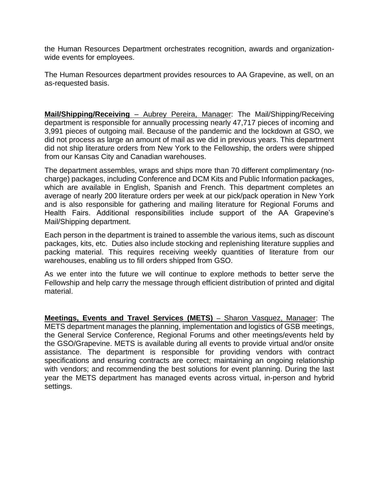the Human Resources Department orchestrates recognition, awards and organizationwide events for employees.

The Human Resources department provides resources to AA Grapevine, as well, on an as-requested basis.

**Mail/Shipping/Receiving** – Aubrey Pereira, Manager: The Mail/Shipping/Receiving department is responsible for annually processing nearly 47,717 pieces of incoming and 3,991 pieces of outgoing mail. Because of the pandemic and the lockdown at GSO, we did not process as large an amount of mail as we did in previous years. This department did not ship literature orders from New York to the Fellowship, the orders were shipped from our Kansas City and Canadian warehouses.

The department assembles, wraps and ships more than 70 different complimentary (nocharge) packages, including Conference and DCM Kits and Public Information packages, which are available in English, Spanish and French. This department completes an average of nearly 200 literature orders per week at our pick/pack operation in New York and is also responsible for gathering and mailing literature for Regional Forums and Health Fairs. Additional responsibilities include support of the AA Grapevine's Mail/Shipping department.

Each person in the department is trained to assemble the various items, such as discount packages, kits, etc. Duties also include stocking and replenishing literature supplies and packing material. This requires receiving weekly quantities of literature from our warehouses, enabling us to fill orders shipped from GSO.

As we enter into the future we will continue to explore methods to better serve the Fellowship and help carry the message through efficient distribution of printed and digital material.

**Meetings, Events and Travel Services (METS)** – Sharon Vasquez, Manager: The METS department manages the planning, implementation and logistics of GSB meetings, the General Service Conference, Regional Forums and other meetings/events held by the GSO/Grapevine. METS is available during all events to provide virtual and/or onsite assistance. The department is responsible for providing vendors with contract specifications and ensuring contracts are correct; maintaining an ongoing relationship with vendors; and recommending the best solutions for event planning. During the last year the METS department has managed events across virtual, in-person and hybrid settings.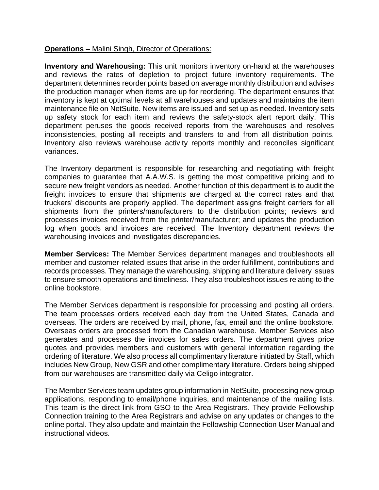## **Operations –** Malini Singh, Director of Operations:

**Inventory and Warehousing:** This unit monitors inventory on-hand at the warehouses and reviews the rates of depletion to project future inventory requirements. The department determines reorder points based on average monthly distribution and advises the production manager when items are up for reordering. The department ensures that inventory is kept at optimal levels at all warehouses and updates and maintains the item maintenance file on NetSuite. New items are issued and set up as needed. Inventory sets up safety stock for each item and reviews the safety-stock alert report daily. This department peruses the goods received reports from the warehouses and resolves inconsistencies, posting all receipts and transfers to and from all distribution points. Inventory also reviews warehouse activity reports monthly and reconciles significant variances.

The Inventory department is responsible for researching and negotiating with freight companies to guarantee that A.A.W.S. is getting the most competitive pricing and to secure new freight vendors as needed. Another function of this department is to audit the freight invoices to ensure that shipments are charged at the correct rates and that truckers' discounts are properly applied. The department assigns freight carriers for all shipments from the printers/manufacturers to the distribution points; reviews and processes invoices received from the printer/manufacturer; and updates the production log when goods and invoices are received. The Inventory department reviews the warehousing invoices and investigates discrepancies.

**Member Services:** The Member Services department manages and troubleshoots all member and customer-related issues that arise in the order fulfillment, contributions and records processes. They manage the warehousing, shipping and literature delivery issues to ensure smooth operations and timeliness. They also troubleshoot issues relating to the online bookstore.

The Member Services department is responsible for processing and posting all orders. The team processes orders received each day from the United States, Canada and overseas. The orders are received by mail, phone, fax, email and the online bookstore. Overseas orders are processed from the Canadian warehouse. Member Services also generates and processes the invoices for sales orders. The department gives price quotes and provides members and customers with general information regarding the ordering of literature. We also process all complimentary literature initiated by Staff, which includes New Group, New GSR and other complimentary literature. Orders being shipped from our warehouses are transmitted daily via Celigo integrator.

The Member Services team updates group information in NetSuite, processing new group applications, responding to email/phone inquiries, and maintenance of the mailing lists. This team is the direct link from GSO to the Area Registrars. They provide Fellowship Connection training to the Area Registrars and advise on any updates or changes to the online portal. They also update and maintain the Fellowship Connection User Manual and instructional videos.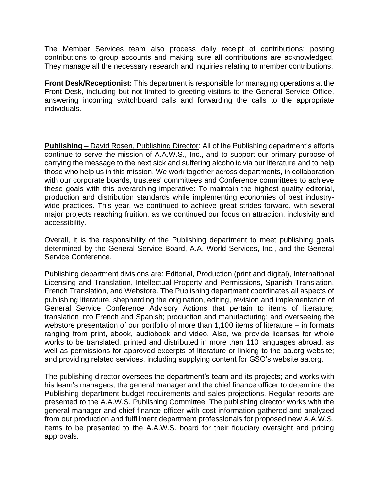The Member Services team also process daily receipt of contributions; posting contributions to group accounts and making sure all contributions are acknowledged. They manage all the necessary research and inquiries relating to member contributions.

**Front Desk/Receptionist:** This department is responsible for managing operations at the Front Desk, including but not limited to greeting visitors to the General Service Office, answering incoming switchboard calls and forwarding the calls to the appropriate individuals.

**Publishing** – David Rosen, Publishing Director: All of the Publishing department's efforts continue to serve the mission of A.A.W.S., Inc., and to support our primary purpose of carrying the message to the next sick and suffering alcoholic via our literature and to help those who help us in this mission. We work together across departments, in collaboration with our corporate boards, trustees' committees and Conference committees to achieve these goals with this overarching imperative: To maintain the highest quality editorial, production and distribution standards while implementing economies of best industrywide practices. This year, we continued to achieve great strides forward, with several major projects reaching fruition, as we continued our focus on attraction, inclusivity and accessibility.

Overall, it is the responsibility of the Publishing department to meet publishing goals determined by the General Service Board, A.A. World Services, Inc., and the General Service Conference.

Publishing department divisions are: Editorial, Production (print and digital), International Licensing and Translation, Intellectual Property and Permissions, Spanish Translation, French Translation, and Webstore. The Publishing department coordinates all aspects of publishing literature, shepherding the origination, editing, revision and implementation of General Service Conference Advisory Actions that pertain to items of literature; translation into French and Spanish; production and manufacturing; and overseeing the webstore presentation of our portfolio of more than 1,100 items of literature – in formats ranging from print, ebook, audiobook and video. Also, we provide licenses for whole works to be translated, printed and distributed in more than 110 languages abroad, as well as permissions for approved excerpts of literature or linking to the aa.org website; and providing related services, including supplying content for GSO's website aa.org.

The publishing director oversees the department's team and its projects; and works with his team's managers, the general manager and the chief finance officer to determine the Publishing department budget requirements and sales projections. Regular reports are presented to the A.A.W.S. Publishing Committee. The publishing director works with the general manager and chief finance officer with cost information gathered and analyzed from our production and fulfillment department professionals for proposed new A.A.W.S. items to be presented to the A.A.W.S. board for their fiduciary oversight and pricing approvals.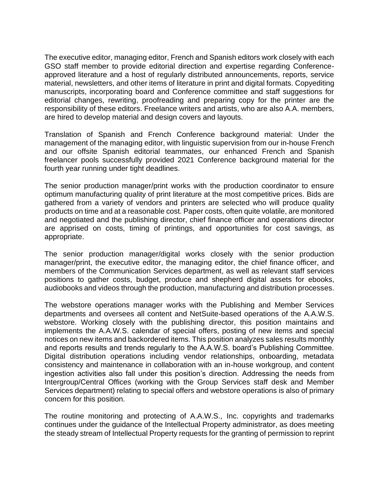The executive editor, managing editor, French and Spanish editors work closely with each GSO staff member to provide editorial direction and expertise regarding Conferenceapproved literature and a host of regularly distributed announcements, reports, service material, newsletters, and other items of literature in print and digital formats. Copyediting manuscripts, incorporating board and Conference committee and staff suggestions for editorial changes, rewriting, proofreading and preparing copy for the printer are the responsibility of these editors. Freelance writers and artists, who are also A.A. members, are hired to develop material and design covers and layouts.

Translation of Spanish and French Conference background material: Under the management of the managing editor, with linguistic supervision from our in-house French and our offsite Spanish editorial teammates, our enhanced French and Spanish freelancer pools successfully provided 2021 Conference background material for the fourth year running under tight deadlines.

The senior production manager/print works with the production coordinator to ensure optimum manufacturing quality of print literature at the most competitive prices. Bids are gathered from a variety of vendors and printers are selected who will produce quality products on time and at a reasonable cost. Paper costs, often quite volatile, are monitored and negotiated and the publishing director, chief finance officer and operations director are apprised on costs, timing of printings, and opportunities for cost savings, as appropriate.

The senior production manager/digital works closely with the senior production manager/print, the executive editor, the managing editor, the chief finance officer, and members of the Communication Services department, as well as relevant staff services positions to gather costs, budget, produce and shepherd digital assets for ebooks, audiobooks and videos through the production, manufacturing and distribution processes.

The webstore operations manager works with the Publishing and Member Services departments and oversees all content and NetSuite-based operations of the A.A.W.S. webstore. Working closely with the publishing director, this position maintains and implements the A.A.W.S. calendar of special offers, posting of new items and special notices on new items and backordered items. This position analyzes sales results monthly and reports results and trends regularly to the A.A.W.S. board's Publishing Committee. Digital distribution operations including vendor relationships, onboarding, metadata consistency and maintenance in collaboration with an in-house workgroup, and content ingestion activities also fall under this position's direction. Addressing the needs from Intergroup/Central Offices (working with the Group Services staff desk and Member Services department) relating to special offers and webstore operations is also of primary concern for this position.

The routine monitoring and protecting of A.A.W.S., Inc. copyrights and trademarks continues under the guidance of the Intellectual Property administrator, as does meeting the steady stream of Intellectual Property requests for the granting of permission to reprint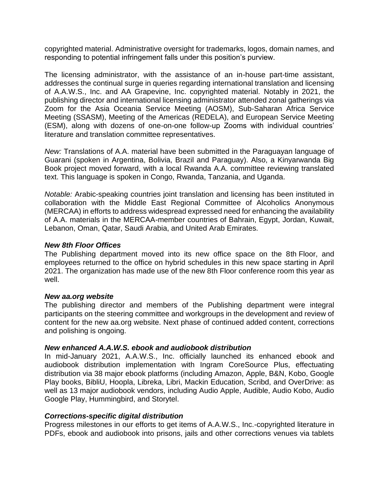copyrighted material. Administrative oversight for trademarks, logos, domain names, and responding to potential infringement falls under this position's purview.

The licensing administrator, with the assistance of an in-house part-time assistant, addresses the continual surge in queries regarding international translation and licensing of A.A.W.S., Inc. and AA Grapevine, Inc. copyrighted material. Notably in 2021, the publishing director and international licensing administrator attended zonal gatherings via Zoom for the Asia Oceania Service Meeting (AOSM), Sub-Saharan Africa Service Meeting (SSASM), Meeting of the Americas (REDELA), and European Service Meeting (ESM), along with dozens of one-on-one follow-up Zooms with individual countries' literature and translation committee representatives.

*New:* Translations of A.A. material have been submitted in the Paraguayan language of Guarani (spoken in Argentina, Bolivia, Brazil and Paraguay). Also, a Kinyarwanda Big Book project moved forward, with a local Rwanda A.A. committee reviewing translated text. This language is spoken in Congo, Rwanda, Tanzania, and Uganda.

*Notable:* Arabic-speaking countries joint translation and licensing has been instituted in collaboration with the Middle East Regional Committee of Alcoholics Anonymous (MERCAA) in efforts to address widespread expressed need for enhancing the availability of A.A. materials in the MERCAA-member countries of Bahrain, Egypt, Jordan, Kuwait, Lebanon, Oman, Qatar, Saudi Arabia, and United Arab Emirates.

### *New 8th Floor Offices*

The Publishing department moved into its new office space on the 8th Floor, and employees returned to the office on hybrid schedules in this new space starting in April 2021. The organization has made use of the new 8th Floor conference room this year as well.

### *New aa.org website*

The publishing director and members of the Publishing department were integral participants on the steering committee and workgroups in the development and review of content for the new aa.org website. Next phase of continued added content, corrections and polishing is ongoing.

### *New enhanced A.A.W.S. ebook and audiobook distribution*

In mid-January 2021, A.A.W.S., Inc. officially launched its enhanced ebook and audiobook distribution implementation with Ingram CoreSource Plus, effectuating distribution via 38 major ebook platforms (including Amazon, Apple, B&N, Kobo, Google Play books, BibliU, Hoopla, Libreka, Libri, Mackin Education, Scribd, and OverDrive: as well as 13 major audiobook vendors, including Audio Apple, Audible, Audio Kobo, Audio Google Play, Hummingbird, and Storytel.

## *Corrections-specific digital distribution*

Progress milestones in our efforts to get items of A.A.W.S., Inc.-copyrighted literature in PDFs, ebook and audiobook into prisons, jails and other corrections venues via tablets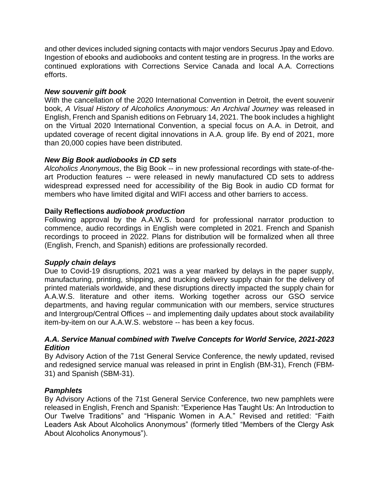and other devices included signing contacts with major vendors Securus Jpay and Edovo. Ingestion of ebooks and audiobooks and content testing are in progress. In the works are continued explorations with Corrections Service Canada and local A.A. Corrections efforts.

# *New souvenir gift book*

With the cancellation of the 2020 International Convention in Detroit, the event souvenir book, *A Visual History of Alcoholics Anonymous: An Archival Journey* was released in English, French and Spanish editions on February 14, 2021. The book includes a highlight on the Virtual 2020 International Convention, a special focus on A.A. in Detroit, and updated coverage of recent digital innovations in A.A. group life. By end of 2021, more than 20,000 copies have been distributed.

# *New Big Book audiobooks in CD sets*

*Alcoholics Anonymous*, the Big Book -- in new professional recordings with state-of-theart Production features -- were released in newly manufactured CD sets to address widespread expressed need for accessibility of the Big Book in audio CD format for members who have limited digital and WIFI access and other barriers to access.

## **Daily Reflections** *audiobook production*

Following approval by the A.A.W.S. board for professional narrator production to commence, audio recordings in English were completed in 2021. French and Spanish recordings to proceed in 2022. Plans for distribution will be formalized when all three (English, French, and Spanish) editions are professionally recorded.

## *Supply chain delays*

Due to Covid-19 disruptions, 2021 was a year marked by delays in the paper supply, manufacturing, printing, shipping, and trucking delivery supply chain for the delivery of printed materials worldwide, and these disruptions directly impacted the supply chain for A.A.W.S. literature and other items. Working together across our GSO service departments, and having regular communication with our members, service structures and Intergroup/Central Offices -- and implementing daily updates about stock availability item-by-item on our A.A.W.S. webstore -- has been a key focus.

## *A.A. Service Manual combined with Twelve Concepts for World Service, 2021-2023 Edition*

By Advisory Action of the 71st General Service Conference, the newly updated, revised and redesigned service manual was released in print in English (BM-31), French (FBM-31) and Spanish (SBM-31).

# *Pamphlets*

By Advisory Actions of the 71st General Service Conference, two new pamphlets were released in English, French and Spanish: "Experience Has Taught Us: An Introduction to Our Twelve Traditions" and "Hispanic Women in A.A." Revised and retitled: "Faith Leaders Ask About Alcoholics Anonymous" (formerly titled "Members of the Clergy Ask About Alcoholics Anonymous").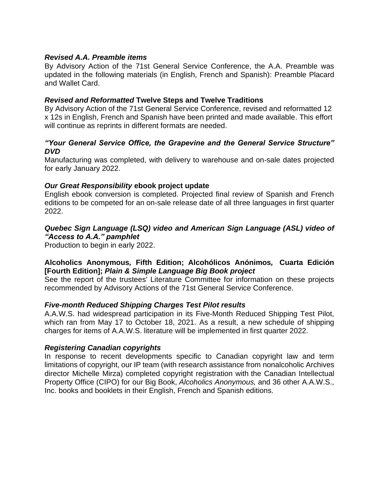## *Revised A.A. Preamble items*

By Advisory Action of the 71st General Service Conference, the A.A. Preamble was updated in the following materials (in English, French and Spanish): Preamble Placard and Wallet Card.

### *Revised and Reformatted* **Twelve Steps and Twelve Traditions**

By Advisory Action of the 71st General Service Conference, revised and reformatted 12 x 12s in English, French and Spanish have been printed and made available. This effort will continue as reprints in different formats are needed.

## *"Your General Service Office, the Grapevine and the General Service Structure" DVD*

Manufacturing was completed, with delivery to warehouse and on-sale dates projected for early January 2022.

### *Our Great Responsibility* **ebook project update**

English ebook conversion is completed. Projected final review of Spanish and French editions to be competed for an on-sale release date of all three languages in first quarter 2022.

## *Quebec Sign Language (LSQ) video and American Sign Language (ASL) video of "Access to A.A." pamphlet*

Production to begin in early 2022.

# **Alcoholics Anonymous***,* **Fifth Edition; Alcohólicos Anónimos***,* **Cuarta Edición [Fourth Edition];** *Plain & Simple Language Big Book project*

See the report of the trustees' Literature Committee for information on these projects recommended by Advisory Actions of the 71st General Service Conference.

### *Five-month Reduced Shipping Charges Test Pilot results*

A.A.W.S. had widespread participation in its Five-Month Reduced Shipping Test Pilot, which ran from May 17 to October 18, 2021. As a result, a new schedule of shipping charges for items of A.A.W.S. literature will be implemented in first quarter 2022.

### *Registering Canadian copyrights*

In response to recent developments specific to Canadian copyright law and term limitations of copyright, our IP team (with research assistance from nonalcoholic Archives director Michelle Mirza) completed copyright registration with the Canadian Intellectual Property Office (CIPO) for our Big Book, *Alcoholics Anonymous,* and 36 other A.A.W.S., Inc. books and booklets in their English, French and Spanish editions.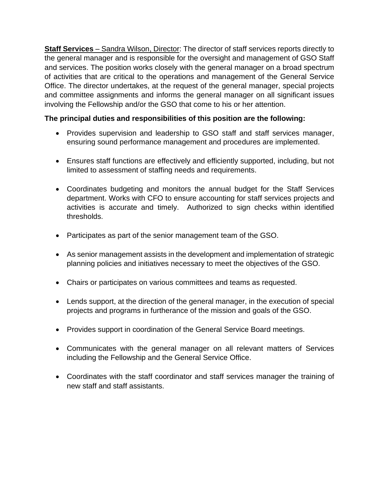**Staff Services** – Sandra Wilson, Director: The director of staff services reports directly to the general manager and is responsible for the oversight and management of GSO Staff and services. The position works closely with the general manager on a broad spectrum of activities that are critical to the operations and management of the General Service Office. The director undertakes, at the request of the general manager, special projects and committee assignments and informs the general manager on all significant issues involving the Fellowship and/or the GSO that come to his or her attention.

# **The principal duties and responsibilities of this position are the following:**

- Provides supervision and leadership to GSO staff and staff services manager, ensuring sound performance management and procedures are implemented.
- Ensures staff functions are effectively and efficiently supported, including, but not limited to assessment of staffing needs and requirements.
- Coordinates budgeting and monitors the annual budget for the Staff Services department. Works with CFO to ensure accounting for staff services projects and activities is accurate and timely. Authorized to sign checks within identified thresholds.
- Participates as part of the senior management team of the GSO.
- As senior management assists in the development and implementation of strategic planning policies and initiatives necessary to meet the objectives of the GSO.
- Chairs or participates on various committees and teams as requested.
- Lends support, at the direction of the general manager, in the execution of special projects and programs in furtherance of the mission and goals of the GSO.
- Provides support in coordination of the General Service Board meetings.
- Communicates with the general manager on all relevant matters of Services including the Fellowship and the General Service Office.
- Coordinates with the staff coordinator and staff services manager the training of new staff and staff assistants.